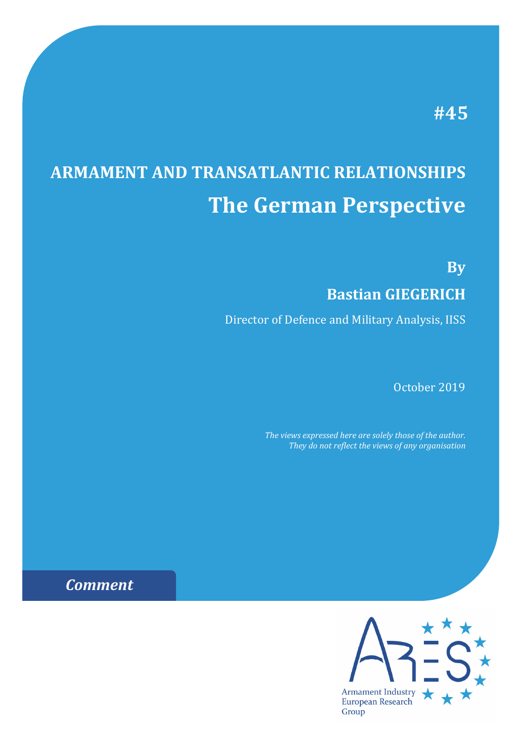## **#45**

# **ARMAMENT AND TRANSATLANTIC RELATIONSHIPS The German Perspective**

**By**

### **Bastian GIEGERICH**

Director of Defence and Military Analysis, IISS

October 2019

*The views expressed here are solely those of the author. They do not reflect the views of any organisation*

## *Comment*

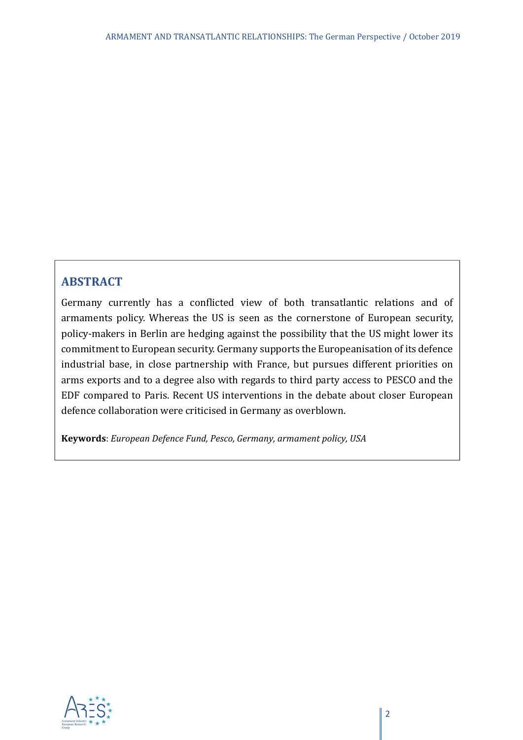#### **ABSTRACT**

Germany currently has a conflicted view of both transatlantic relations and of armaments policy. Whereas the US is seen as the cornerstone of European security, policy-makers in Berlin are hedging against the possibility that the US might lower its commitment to European security. Germany supports the Europeanisation of its defence industrial base, in close partnership with France, but pursues different priorities on arms exports and to a degree also with regards to third party access to PESCO and the EDF compared to Paris. Recent US interventions in the debate about closer European defence collaboration were criticised in Germany as overblown.

**Keywords**: *European Defence Fund, Pesco, Germany, armament policy, USA*

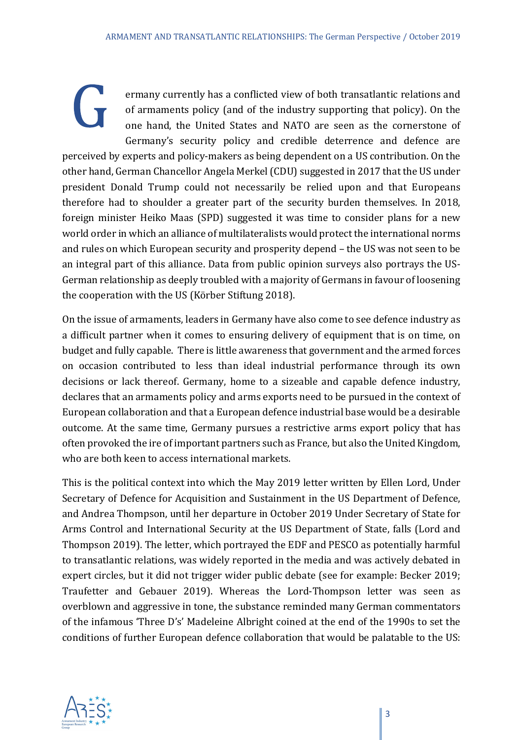ermany currently has a conflicted view of both transatlantic relations and of armaments policy (and of the industry supporting that policy). On the one hand, the United States and NATO are seen as the cornerstone of Germany's security policy and credible deterrence and defence are perceived by experts and policy-makers as being dependent on a US contribution. On the other hand, German Chancellor Angela Merkel (CDU) suggested in 2017 that the US under president Donald Trump could not necessarily be relied upon and that Europeans therefore had to shoulder a greater part of the security burden themselves. In 2018, foreign minister Heiko Maas (SPD) suggested it was time to consider plans for a new world order in which an alliance of multilateralists would protect the international norms and rules on which European security and prosperity depend – the US was not seen to be an integral part of this alliance. Data from public opinion surveys also portrays the US-German relationship as deeply troubled with a majority of Germans in favour of loosening the cooperation with the US (Körber Stiftung 2018).

On the issue of armaments, leaders in Germany have also come to see defence industry as a difficult partner when it comes to ensuring delivery of equipment that is on time, on budget and fully capable. There is little awareness that government and the armed forces on occasion contributed to less than ideal industrial performance through its own decisions or lack thereof. Germany, home to a sizeable and capable defence industry, declares that an armaments policy and arms exports need to be pursued in the context of European collaboration and that a European defence industrial base would be a desirable outcome. At the same time, Germany pursues a restrictive arms export policy that has often provoked the ire of important partners such as France, but also the United Kingdom, who are both keen to access international markets.

This is the political context into which the May 2019 letter written by Ellen Lord, Under Secretary of Defence for Acquisition and Sustainment in the US Department of Defence, and Andrea Thompson, until her departure in October 2019 Under Secretary of State for Arms Control and International Security at the US Department of State, falls (Lord and Thompson 2019). The letter, which portrayed the EDF and PESCO as potentially harmful to transatlantic relations, was widely reported in the media and was actively debated in expert circles, but it did not trigger wider public debate (see for example: Becker 2019; Traufetter and Gebauer 2019). Whereas the Lord-Thompson letter was seen as overblown and aggressive in tone, the substance reminded many German commentators of the infamous 'Three D's' Madeleine Albright coined at the end of the 1990s to set the conditions of further European defence collaboration that would be palatable to the US:

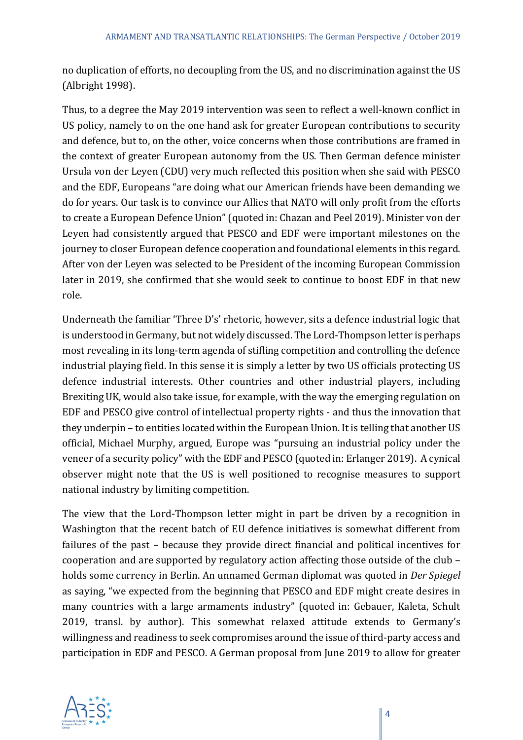no duplication of efforts, no decoupling from the US, and no discrimination against the US (Albright 1998).

Thus, to a degree the May 2019 intervention was seen to reflect a well-known conflict in US policy, namely to on the one hand ask for greater European contributions to security and defence, but to, on the other, voice concerns when those contributions are framed in the context of greater European autonomy from the US. Then German defence minister Ursula von der Leyen (CDU) very much reflected this position when she said with PESCO and the EDF, Europeans "are doing what our American friends have been demanding we do for years. Our task is to convince our Allies that NATO will only profit from the efforts to create a European Defence Union" (quoted in: Chazan and Peel 2019). Minister von der Leyen had consistently argued that PESCO and EDF were important milestones on the journey to closer European defence cooperation and foundational elements in this regard. After von der Leyen was selected to be President of the incoming European Commission later in 2019, she confirmed that she would seek to continue to boost EDF in that new role.

Underneath the familiar 'Three D's' rhetoric, however, sits a defence industrial logic that is understood in Germany, but not widely discussed. The Lord-Thompson letter is perhaps most revealing in its long-term agenda of stifling competition and controlling the defence industrial playing field. In this sense it is simply a letter by two US officials protecting US defence industrial interests. Other countries and other industrial players, including Brexiting UK, would also take issue, for example, with the way the emerging regulation on EDF and PESCO give control of intellectual property rights - and thus the innovation that they underpin – to entities located within the European Union. It is telling that another US official, Michael Murphy, argued, Europe was "pursuing an industrial policy under the veneer of a security policy" with the EDF and PESCO (quoted in: Erlanger 2019). A cynical observer might note that the US is well positioned to recognise measures to support national industry by limiting competition.

The view that the Lord-Thompson letter might in part be driven by a recognition in Washington that the recent batch of EU defence initiatives is somewhat different from failures of the past – because they provide direct financial and political incentives for cooperation and are supported by regulatory action affecting those outside of the club – holds some currency in Berlin. An unnamed German diplomat was quoted in *Der Spiegel* as saying, "we expected from the beginning that PESCO and EDF might create desires in many countries with a large armaments industry" (quoted in: Gebauer, Kaleta, Schult 2019, transl. by author). This somewhat relaxed attitude extends to Germany's willingness and readiness to seek compromises around the issue of third-party access and participation in EDF and PESCO. A German proposal from June 2019 to allow for greater

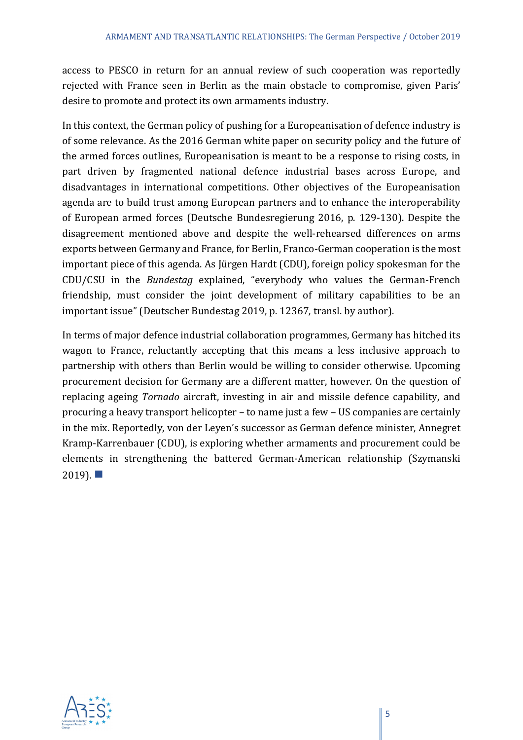access to PESCO in return for an annual review of such cooperation was reportedly rejected with France seen in Berlin as the main obstacle to compromise, given Paris' desire to promote and protect its own armaments industry.

In this context, the German policy of pushing for a Europeanisation of defence industry is of some relevance. As the 2016 German white paper on security policy and the future of the armed forces outlines, Europeanisation is meant to be a response to rising costs, in part driven by fragmented national defence industrial bases across Europe, and disadvantages in international competitions. Other objectives of the Europeanisation agenda are to build trust among European partners and to enhance the interoperability of European armed forces (Deutsche Bundesregierung 2016, p. 129-130). Despite the disagreement mentioned above and despite the well-rehearsed differences on arms exports between Germany and France, for Berlin, Franco-German cooperation is the most important piece of this agenda. As Jürgen Hardt (CDU), foreign policy spokesman for the CDU/CSU in the *Bundestag* explained, "everybody who values the German-French friendship, must consider the joint development of military capabilities to be an important issue" (Deutscher Bundestag 2019, p. 12367, transl. by author).

In terms of major defence industrial collaboration programmes, Germany has hitched its wagon to France, reluctantly accepting that this means a less inclusive approach to partnership with others than Berlin would be willing to consider otherwise. Upcoming procurement decision for Germany are a different matter, however. On the question of replacing ageing *Tornado* aircraft, investing in air and missile defence capability, and procuring a heavy transport helicopter – to name just a few – US companies are certainly in the mix. Reportedly, von der Leyen's successor as German defence minister, Annegret Kramp-Karrenbauer (CDU), is exploring whether armaments and procurement could be elements in strengthening the battered German-American relationship (Szymanski  $2019$ ).

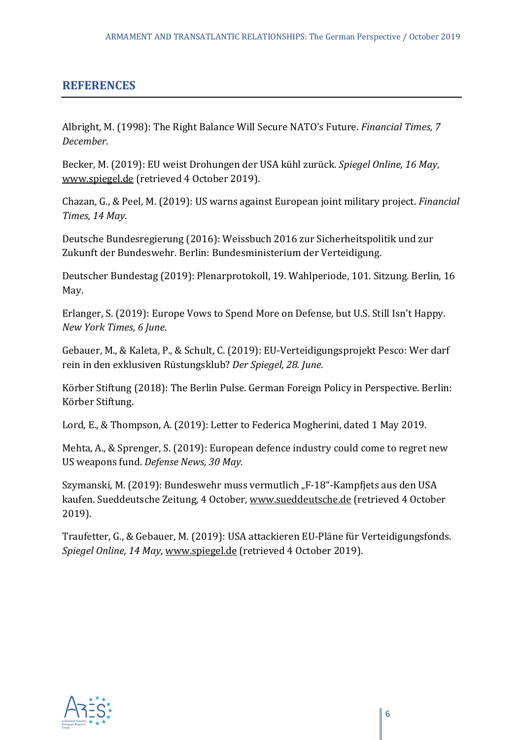#### **REFERENCES**

Albright, M. (1998): The Right Balance Will Secure NATO's Future. *Financial Times, 7 December*.

Becker, M. (2019): EU weist Drohungen der USA kühl zurück. *Spiegel Online, 16 May*, www.spiegel.de (retrieved 4 October 2019).

Chazan, G., & Peel, M. (2019): US warns against European joint military project. *Financial Times, 14 May*.

Deutsche Bundesregierung (2016): Weissbuch 2016 zur Sicherheitspolitik und zur Zukunft der Bundeswehr. Berlin: Bundesministerium der Verteidigung.

Deutscher Bundestag (2019): Plenarprotokoll, 19. Wahlperiode, 101. Sitzung. Berlin, 16 May.

Erlanger, S. (2019): Europe Vows to Spend More on Defense, but U.S. Still Isn't Happy. *New York Times, 6 June*.

Gebauer, M., & Kaleta, P., & Schult, C. (2019): EU-Verteidigungsprojekt Pesco: Wer darf rein in den exklusiven Rüstungsklub? *Der Spiegel, 28. June*.

Körber Stiftung (2018): The Berlin Pulse. German Foreign Policy in Perspective. Berlin: Körber Stiftung.

Lord, E., & Thompson, A. (2019): Letter to Federica Mogherini, dated 1 May 2019.

Mehta, A., & Sprenger, S. (2019): European defence industry could come to regret new US weapons fund. *Defense News, 30 May*.

Szymanski, M. (2019): Bundeswehr muss vermutlich "F-18"-Kampfjets aus den USA kaufen. Sueddeutsche Zeitung, 4 October, www.sueddeutsche.de (retrieved 4 October 2019).

Traufetter, G., & Gebauer, M. (2019): USA attackieren EU-Pläne für Verteidigungsfonds. *Spiegel Online, 14 May*, www.spiegel.de (retrieved 4 October 2019).